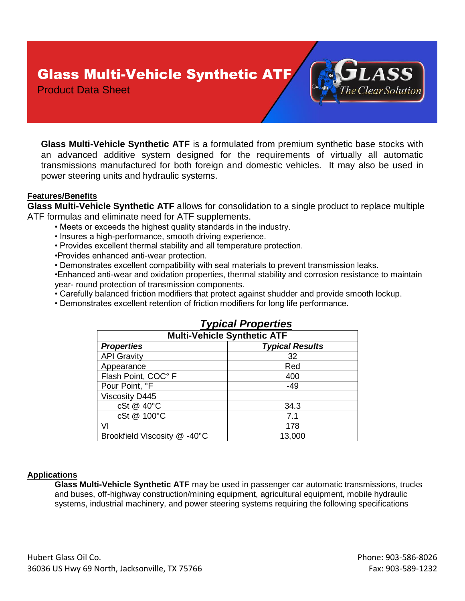# Glass Multi-Vehicle Synthetic ATF

Product Data Sheet

**Glass Multi-Vehicle Synthetic ATF** is a formulated from premium synthetic base stocks with an advanced additive system designed for the requirements of virtually all automatic transmissions manufactured for both foreign and domestic vehicles. It may also be used in power steering units and hydraulic systems.

### **Features/Benefits**

**Glass Multi-Vehicle Synthetic ATF** allows for consolidation to a single product to replace multiple ATF formulas and eliminate need for ATF supplements.

- Meets or exceeds the highest quality standards in the industry.
- Insures a high-performance, smooth driving experience.
- Provides excellent thermal stability and all temperature protection.
- •Provides enhanced anti-wear protection.
- Demonstrates excellent compatibility with seal materials to prevent transmission leaks.

•Enhanced anti-wear and oxidation properties, thermal stability and corrosion resistance to maintain year- round protection of transmission components.

- Carefully balanced friction modifiers that protect against shudder and provide smooth lockup.
- Demonstrates excellent retention of friction modifiers for long life performance.

| <b>Multi-Vehicle Synthetic ATF</b> |                        |
|------------------------------------|------------------------|
| <b>Properties</b>                  | <b>Typical Results</b> |
| <b>API Gravity</b>                 | 32                     |
| Appearance                         | Red                    |
| Flash Point, COC° F                | 400                    |
| Pour Point, °F                     | $-49$                  |
| <b>Viscosity D445</b>              |                        |
| cSt @ 40°C                         | 34.3                   |
| cSt @ 100°C                        | 7.1                    |
| VI                                 | 178                    |
| Brookfield Viscosity @ -40°C       | 13,000                 |

## *Typical Properties*

#### **Applications**

**Glass Multi-Vehicle Synthetic ATF** may be used in passenger car automatic transmissions, trucks and buses, off-highway construction/mining equipment, agricultural equipment, mobile hydraulic systems, industrial machinery, and power steering systems requiring the following specifications

he Clear Solution